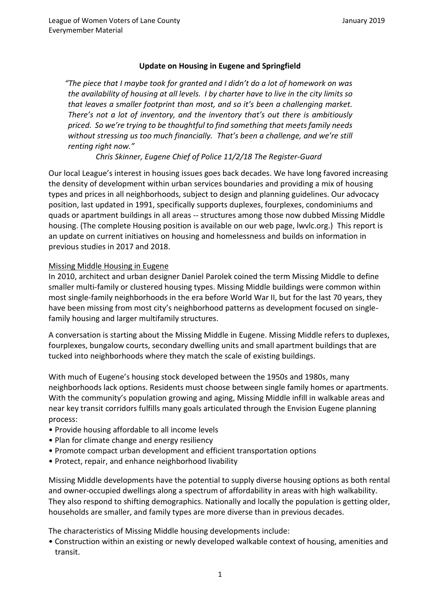## **Update on Housing in Eugene and Springfield**

*"The piece that I maybe took for granted and I didn't do a lot of homework on was the availability of housing at all levels. I by charter have to live in the city limits so that leaves a smaller footprint than most, and so it's been a challenging market. There's not a lot of inventory, and the inventory that's out there is ambitiously priced. So we're trying to be thoughtful to find something that meets family needs without stressing us too much financially. That's been a challenge, and we're still renting right now."*

*Chris Skinner, Eugene Chief of Police 11/2/18 The Register-Guard*

Our local League's interest in housing issues goes back decades. We have long favored increasing the density of development within urban services boundaries and providing a mix of housing types and prices in all neighborhoods, subject to design and planning guidelines. Our advocacy position, last updated in 1991, specifically supports duplexes, fourplexes, condominiums and quads or apartment buildings in all areas -- structures among those now dubbed Missing Middle housing. (The complete Housing position is available on our web page, lwvlc.org.) This report is an update on current initiatives on housing and homelessness and builds on information in previous studies in 2017 and 2018.

#### Missing Middle Housing in Eugene

In 2010, architect and urban designer Daniel Parolek coined the term Missing Middle to define smaller multi-family or clustered housing types. Missing Middle buildings were common within most single-family neighborhoods in the era before World War II, but for the last 70 years, they have been missing from most city's neighborhood patterns as development focused on singlefamily housing and larger multifamily structures.

A conversation is starting about the Missing Middle in Eugene. Missing Middle refers to duplexes, fourplexes, bungalow courts, secondary dwelling units and small apartment buildings that are tucked into neighborhoods where they match the scale of existing buildings.

With much of Eugene's housing stock developed between the 1950s and 1980s, many neighborhoods lack options. Residents must choose between single family homes or apartments. With the community's population growing and aging, Missing Middle infill in walkable areas and near key transit corridors fulfills many goals articulated through the Envision Eugene planning process:

- Provide housing affordable to all income levels
- Plan for climate change and energy resiliency
- Promote compact urban development and efficient transportation options
- Protect, repair, and enhance neighborhood livability

Missing Middle developments have the potential to supply diverse housing options as both rental and owner-occupied dwellings along a spectrum of affordability in areas with high walkability. They also respond to shifting demographics. Nationally and locally the population is getting older, households are smaller, and family types are more diverse than in previous decades.

The characteristics of Missing Middle housing developments include:

• Construction within an existing or newly developed walkable context of housing, amenities and transit.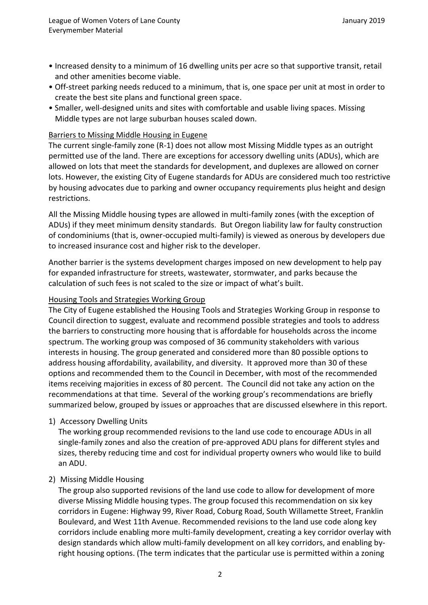- Increased density to a minimum of 16 dwelling units per acre so that supportive transit, retail and other amenities become viable.
- Off-street parking needs reduced to a minimum, that is, one space per unit at most in order to create the best site plans and functional green space.
- Smaller, well-designed units and sites with comfortable and usable living spaces. Missing Middle types are not large suburban houses scaled down.

### Barriers to Missing Middle Housing in Eugene

The current single-family zone (R-1) does not allow most Missing Middle types as an outright permitted use of the land. There are exceptions for accessory dwelling units (ADUs), which are allowed on lots that meet the standards for development, and duplexes are allowed on corner lots. However, the existing City of Eugene standards for ADUs are considered much too restrictive by housing advocates due to parking and owner occupancy requirements plus height and design restrictions.

All the Missing Middle housing types are allowed in multi-family zones (with the exception of ADUs) if they meet minimum density standards. But Oregon liability law for faulty construction of condominiums (that is, owner-occupied multi-family) is viewed as onerous by developers due to increased insurance cost and higher risk to the developer.

Another barrier is the systems development charges imposed on new development to help pay for expanded infrastructure for streets, wastewater, stormwater, and parks because the calculation of such fees is not scaled to the size or impact of what's built.

### Housing Tools and Strategies Working Group

The City of Eugene established the Housing Tools and Strategies Working Group in response to Council direction to suggest, evaluate and recommend possible strategies and tools to address the barriers to constructing more housing that is affordable for households across the income spectrum. The working group was composed of 36 community stakeholders with various interests in housing. The group generated and considered more than 80 possible options to address housing affordability, availability, and diversity. It approved more than 30 of these options and recommended them to the Council in December, with most of the recommended items receiving majorities in excess of 80 percent. The Council did not take any action on the recommendations at that time. Several of the working group's recommendations are briefly summarized below, grouped by issues or approaches that are discussed elsewhere in this report.

#### 1) Accessory Dwelling Units

The working group recommended revisions to the land use code to encourage ADUs in all single-family zones and also the creation of pre-approved ADU plans for different styles and sizes, thereby reducing time and cost for individual property owners who would like to build an ADU.

#### 2) Missing Middle Housing

The group also supported revisions of the land use code to allow for development of more diverse Missing Middle housing types. The group focused this recommendation on six key corridors in Eugene: Highway 99, River Road, Coburg Road, South Willamette Street, Franklin Boulevard, and West 11th Avenue. Recommended revisions to the land use code along key corridors include enabling more multi-family development, creating a key corridor overlay with design standards which allow multi-family development on all key corridors, and enabling byright housing options. (The term indicates that the particular use is permitted within a zoning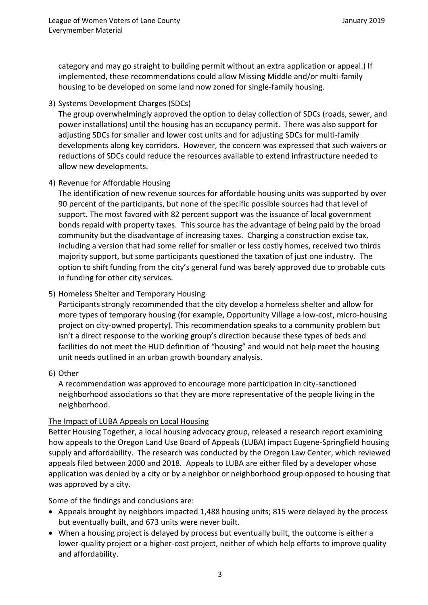category and may go straight to building permit without an extra application or appeal.) If implemented, these recommendations could allow Missing Middle and/or multi-family housing to be developed on some land now zoned for single-family housing.

3) Systems Development Charges (SDCs)

 The group overwhelmingly approved the option to delay collection of SDCs (roads, sewer, and power installations) until the housing has an occupancy permit. There was also support for adjusting SDCs for smaller and lower cost units and for adjusting SDCs for multi-family developments along key corridors. However, the concern was expressed that such waivers or reductions of SDCs could reduce the resources available to extend infrastructure needed to allow new developments.

# 4) Revenue for Affordable Housing

The identification of new revenue sources for affordable housing units was supported by over 90 percent of the participants, but none of the specific possible sources had that level of support. The most favored with 82 percent support was the issuance of local government bonds repaid with property taxes. This source has the advantage of being paid by the broad community but the disadvantage of increasing taxes. Charging a construction excise tax, including a version that had some relief for smaller or less costly homes, received two thirds majority support, but some participants questioned the taxation of just one industry. The option to shift funding from the city's general fund was barely approved due to probable cuts in funding for other city services.

# 5) Homeless Shelter and Temporary Housing

Participants strongly recommended that the city develop a homeless shelter and allow for more types of temporary housing (for example, Opportunity Village a low-cost, micro-housing project on city-owned property). This recommendation speaks to a community problem but isn't a direct response to the working group's direction because these types of beds and facilities do not meet the HUD definition of "housing" and would not help meet the housing unit needs outlined in an urban growth boundary analysis.

## 6) Other

A recommendation was approved to encourage more participation in city-sanctioned neighborhood associations so that they are more representative of the people living in the neighborhood.

## The Impact of LUBA Appeals on Local Housing

Better Housing Together, a local housing advocacy group, released a research report examining how appeals to the Oregon Land Use Board of Appeals (LUBA) impact Eugene-Springfield housing supply and affordability. The research was conducted by the Oregon Law Center, which reviewed appeals filed between 2000 and 2018. Appeals to LUBA are either filed by a developer whose application was denied by a city or by a neighbor or neighborhood group opposed to housing that was approved by a city.

Some of the findings and conclusions are:

- Appeals brought by neighbors impacted 1,488 housing units; 815 were delayed by the process but eventually built, and 673 units were never built.
- When a housing project is delayed by process but eventually built, the outcome is either a lower-quality project or a higher-cost project, neither of which help efforts to improve quality and affordability.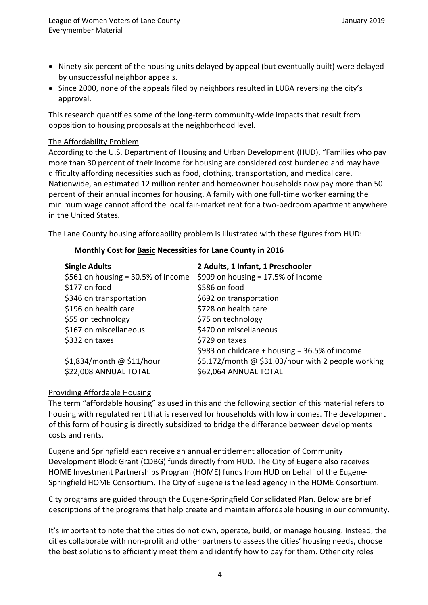- Ninety-six percent of the housing units delayed by appeal (but eventually built) were delayed by unsuccessful neighbor appeals.
- Since 2000, none of the appeals filed by neighbors resulted in LUBA reversing the city's approval.

This research quantifies some of the long-term community-wide impacts that result from opposition to housing proposals at the neighborhood level.

### The Affordability Problem

According to the U.S. Department of Housing and Urban Development (HUD), "Families who pay more than 30 percent of their income for housing are considered cost burdened and may have difficulty affording necessities such as food, clothing, transportation, and medical care. Nationwide, an estimated 12 million renter and homeowner households now pay more than 50 percent of their annual incomes for housing. A family with one full-time worker earning the minimum wage cannot afford the local fair-market rent for a two-bedroom apartment anywhere in the United States*.* 

The Lane County housing affordability problem is illustrated with these figures from HUD:

### **Monthly Cost for Basic Necessities for Lane County in 2016**

| <b>Single Adults</b>                  | 2 Adults, 1 Infant, 1 Preschooler                  |  |
|---------------------------------------|----------------------------------------------------|--|
| \$561 on housing = $30.5\%$ of income | \$909 on housing = $17.5\%$ of income              |  |
| \$177 on food                         | \$586 on food                                      |  |
| \$346 on transportation               | \$692 on transportation                            |  |
| \$196 on health care                  | \$728 on health care                               |  |
| \$55 on technology                    | \$75 on technology                                 |  |
| \$167 on miscellaneous                | \$470 on miscellaneous                             |  |
| \$332 on taxes                        | \$729 on taxes                                     |  |
|                                       | \$983 on childcare + housing = $36.5\%$ of income  |  |
| $$1,834/m$ onth @ \$11/hour           | \$5,172/month @ \$31.03/hour with 2 people working |  |
| \$22,008 ANNUAL TOTAL                 | \$62,064 ANNUAL TOTAL                              |  |
|                                       |                                                    |  |

#### Providing Affordable Housing

The term "affordable housing" as used in this and the following section of this material refers to housing with regulated rent that is reserved for households with low incomes. The development of this form of housing is directly subsidized to bridge the difference between developments costs and rents.

Eugene and Springfield each receive an annual entitlement allocation of Community Development Block Grant (CDBG) funds directly from HUD. The City of Eugene also receives HOME Investment Partnerships Program (HOME) funds from HUD on behalf of the Eugene‐ Springfield HOME Consortium. The City of Eugene is the lead agency in the HOME Consortium.

City programs are guided through the [Eugene-Springfield Consolidated Plan.](https://www.eugene-or.gov/871) Below are brief descriptions of the programs that help create and maintain affordable housing in our community.

It's important to note that the cities do not own, operate, build, or manage housing. Instead, the cities collaborate with non-profit and other partners to assess the cities' housing needs, choose the best solutions to efficiently meet them and identify how to pay for them. Other city roles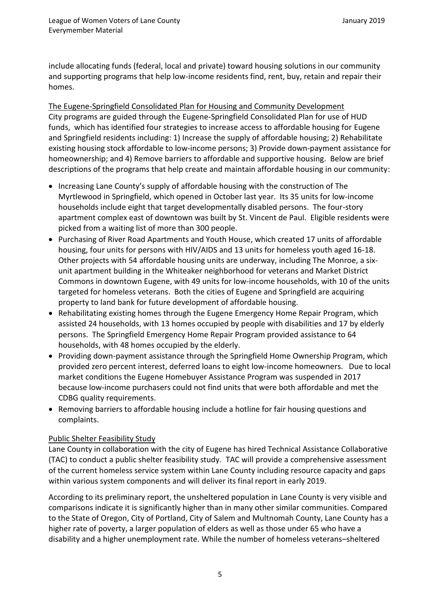include allocating funds (federal, local and private) toward housing solutions in our community and supporting programs that help low-income residents find, rent, buy, retain and repair their homes.

The Eugene-Springfield Consolidated Plan for Housing and Community Development City programs are guided through the [Eugene-Springfield Consolidated Plan](https://www.eugene-or.gov/871) for use of HUD funds, which has identified four strategies to increase access to affordable housing for Eugene and Springfield residents including: 1) Increase the supply of affordable housing; 2) Rehabilitate existing housing stock affordable to low‐income persons; 3) Provide down‐payment assistance for homeownership; and 4) Remove barriers to affordable and supportive housing. Below are brief descriptions of the programs that help create and maintain affordable housing in our community:

- Increasing Lane County's supply of affordable housing with the construction of The Myrtlewood in Springfield, which opened in October last year. Its 35 units for low-income households include eight that target developmentally disabled persons. The four-story apartment complex east of downtown was built by St. Vincent de Paul. Eligible residents were picked from a waiting list of more than 300 people.
- Purchasing of River Road Apartments and Youth House, which created 17 units of affordable housing, four units for persons with HIV/AIDS and 13 units for homeless youth aged 16-18. Other projects with 54 affordable housing units are underway, including The Monroe, a sixunit apartment building in the Whiteaker neighborhood for veterans and Market District Commons in downtown Eugene, with 49 units for low-income households, with 10 of the units targeted for homeless veterans. Both the cities of Eugene and Springfield are acquiring property to land bank for future development of affordable housing.
- Rehabilitating existing homes through the Eugene Emergency Home Repair Program, which assisted 24 households, with 13 homes occupied by people with disabilities and 17 by elderly persons. The Springfield Emergency Home Repair Program provided assistance to 64 households, with 48 homes occupied by the elderly.
- Providing down-payment assistance through the Springfield Home Ownership Program, which provided zero percent interest, deferred loans to eight low-income homeowners. Due to local market conditions the Eugene Homebuyer Assistance Program was suspended in 2017 because low-income purchasers could not find units that were both affordable and met the CDBG quality requirements.
- Removing barriers to affordable housing include a hotline for fair housing questions and complaints.

## Public Shelter Feasibility Study

Lane County in collaboration with the city of Eugene has hired Technical Assistance Collaborative (TAC) to conduct a public shelter feasibility study. TAC will provide a comprehensive assessment of the current homeless service system within Lane County including resource capacity and gaps within various system components and will deliver its final report in early 2019.

According to its preliminary report, the unsheltered population in Lane County is very visible and comparisons indicate it is significantly higher than in many other similar communities. Compared to the State of Oregon, City of Portland, City of Salem and Multnomah County, Lane County has a higher rate of poverty, a larger population of elders as well as those under 65 who have a disability and a higher unemployment rate. While the number of homeless veterans–sheltered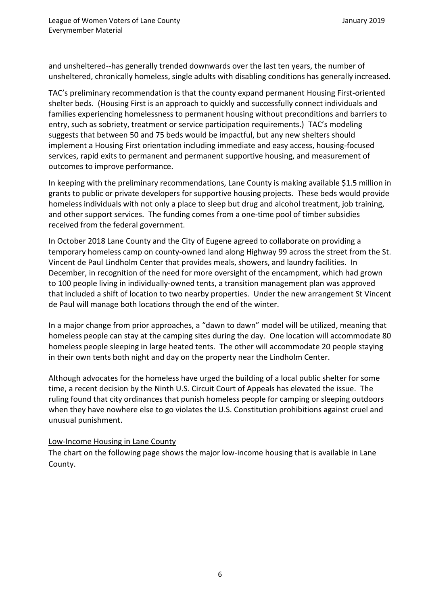and unsheltered--has generally trended downwards over the last ten years, the number of unsheltered, chronically homeless, single adults with disabling conditions has generally increased.

TAC's preliminary recommendation is that the county expand permanent Housing First-oriented shelter beds. (Housing First is an approach to quickly and successfully connect individuals and families experiencing homelessness to permanent housing without preconditions and barriers to entry, such as sobriety, treatment or service participation requirements.) TAC's modeling suggests that between 50 and 75 beds would be impactful, but any new shelters should implement a Housing First orientation including immediate and easy access, housing-focused services, rapid exits to permanent and permanent supportive housing, and measurement of outcomes to improve performance.

In keeping with the preliminary recommendations, Lane County is making available \$1.5 million in grants to public or private developers for supportive housing projects. These beds would provide homeless individuals with not only a place to sleep but drug and alcohol treatment, job training, and other support services. The funding comes from a one-time pool of timber subsidies received from the federal government.

In October 2018 Lane County and the City of Eugene agreed to collaborate on providing a temporary homeless camp on county-owned land along Highway 99 across the street from the St. Vincent de Paul Lindholm Center that provides meals, showers, and laundry facilities. In December, in recognition of the need for more oversight of the encampment, which had grown to 100 people living in individually-owned tents, a transition management plan was approved that included a shift of location to two nearby properties. Under the new arrangement St Vincent de Paul will manage both locations through the end of the winter.

In a major change from prior approaches, a "dawn to dawn" model will be utilized, meaning that homeless people can stay at the camping sites during the day. One location will accommodate 80 homeless people sleeping in large heated tents. The other will accommodate 20 people staying in their own tents both night and day on the property near the Lindholm Center.

Although advocates for the homeless have urged the building of a local public shelter for some time, a recent decision by the Ninth U.S. Circuit Court of Appeals has elevated the issue. The ruling found that city ordinances that punish homeless people for camping or sleeping outdoors when they have nowhere else to go violates the U.S. Constitution prohibitions against cruel and unusual punishment.

## Low-Income Housing in Lane County

The chart on the following page shows the major low-income housing that is available in Lane County.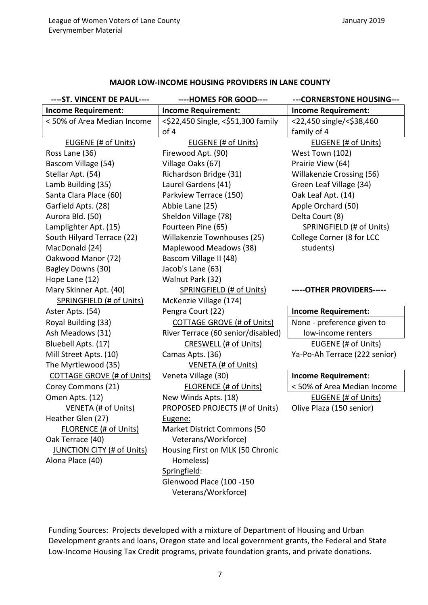#### **MAJOR LOW-INCOME HOUSING PROVIDERS IN LANE COUNTY**

| ---- ST. VINCENT DE PAUL----      | ----HOMES FOR GOOD----                | ---CORNERSTONE HOUSING---        |
|-----------------------------------|---------------------------------------|----------------------------------|
| <b>Income Requirement:</b>        | <b>Income Requirement:</b>            | <b>Income Requirement:</b>       |
| < 50% of Area Median Income       | <\$22,450 Single, <\$51,300 family    | <22,450 single/<\$38,460         |
|                                   | of 4                                  | family of 4                      |
| EUGENE (# of Units)               | EUGENE (# of Units)                   | <b>EUGENE (# of Units)</b>       |
| Ross Lane (36)                    | Firewood Apt. (90)                    | West Town (102)                  |
| Bascom Village (54)               | Village Oaks (67)                     | Prairie View (64)                |
| Stellar Apt. (54)                 | Richardson Bridge (31)                | <b>Willakenzie Crossing (56)</b> |
| Lamb Building (35)                | Laurel Gardens (41)                   | Green Leaf Village (34)          |
| Santa Clara Place (60)            | Parkview Terrace (150)                | Oak Leaf Apt. (14)               |
| Garfield Apts. (28)               | Abbie Lane (25)                       | Apple Orchard (50)               |
| Aurora Bld. (50)                  | Sheldon Village (78)                  | Delta Court (8)                  |
| Lamplighter Apt. (15)             | Fourteen Pine (65)                    | SPRINGFIELD (# of Units)         |
| South Hilyard Terrace (22)        | Willakenzie Townhouses (25)           | College Corner (8 for LCC        |
| MacDonald (24)                    | Maplewood Meadows (38)                | students)                        |
| Oakwood Manor (72)                | Bascom Village II (48)                |                                  |
| Bagley Downs (30)                 | Jacob's Lane (63)                     |                                  |
| Hope Lane (12)                    | Walnut Park (32)                      |                                  |
| Mary Skinner Apt. (40)            | <b>SPRINGFIELD (# of Units)</b>       | -----OTHER PROVIDERS-----        |
| <b>SPRINGFIELD (# of Units)</b>   | McKenzie Village (174)                |                                  |
| Aster Apts. (54)                  | Pengra Court (22)                     | <b>Income Requirement:</b>       |
| Royal Building (33)               | <b>COTTAGE GROVE (# of Units)</b>     | None - preference given to       |
| Ash Meadows (31)                  | River Terrace (60 senior/disabled)    | low-income renters               |
| Bluebell Apts. (17)               | CRESWELL (# of Units)                 | EUGENE (# of Units)              |
| Mill Street Apts. (10)            | Camas Apts. (36)                      | Ya-Po-Ah Terrace (222 senior)    |
| The Myrtlewood (35)               | <b>VENETA (# of Units)</b>            |                                  |
| <b>COTTAGE GROVE (# of Units)</b> | Veneta Village (30)                   | <b>Income Requirement:</b>       |
| Corey Commons (21)                | <b>FLORENCE (# of Units)</b>          | < 50% of Area Median Income      |
| Omen Apts. (12)                   | New Winds Apts. (18)                  | EUGENE (# of Units)              |
| <b>VENETA (# of Units)</b>        | <b>PROPOSED PROJECTS (# of Units)</b> | Olive Plaza (150 senior)         |
| Heather Glen (27)                 | Eugene:                               |                                  |
| <b>FLORENCE (# of Units)</b>      | <b>Market District Commons (50</b>    |                                  |
| Oak Terrace (40)                  | Veterans/Workforce)                   |                                  |
| <b>JUNCTION CITY (# of Units)</b> | Housing First on MLK (50 Chronic      |                                  |
| Alona Place (40)                  | Homeless)                             |                                  |
|                                   | Springfield:                          |                                  |
|                                   | Glenwood Place (100 -150              |                                  |
|                                   | Veterans/Workforce)                   |                                  |

Funding Sources: Projects developed with a mixture of Department of Housing and Urban Development grants and loans, Oregon state and local government grants, the Federal and State Low-Income Housing Tax Credit programs, private foundation grants, and private donations.